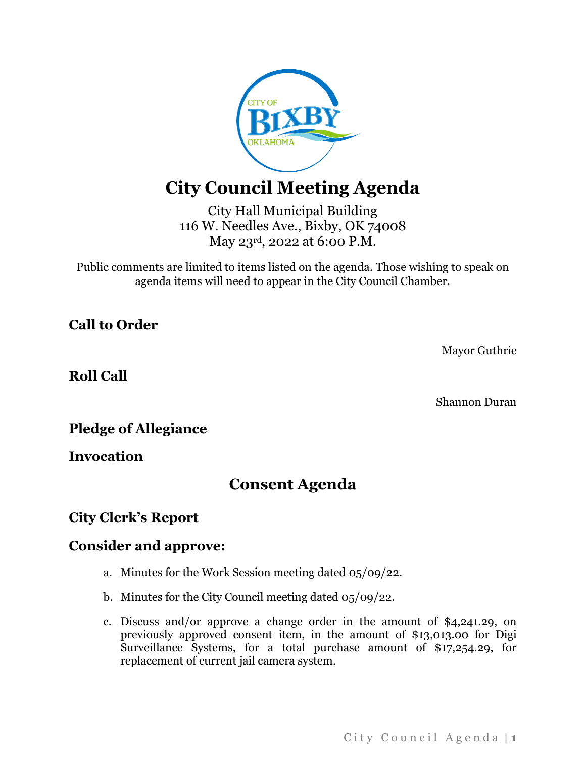

# **City Council Meeting Agenda**

City Hall Municipal Building 116 W. Needles Ave., Bixby, OK 74008 May 23rd, 2022 at 6:00 P.M.

Public comments are limited to items listed on the agenda. Those wishing to speak on agenda items will need to appear in the City Council Chamber.

**Call to Order**

Mayor Guthrie

**Roll Call**

Shannon Duran

**Pledge of Allegiance**

**Invocation**

## **Consent Agenda**

#### **City Clerk's Report**

#### **Consider and approve:**

- a. Minutes for the Work Session meeting dated 05/09/22.
- b. Minutes for the City Council meeting dated 05/09/22.
- c. Discuss and/or approve a change order in the amount of \$4,241.29, on previously approved consent item, in the amount of \$13,013.00 for Digi Surveillance Systems, for a total purchase amount of \$17,254.29, for replacement of current jail camera system.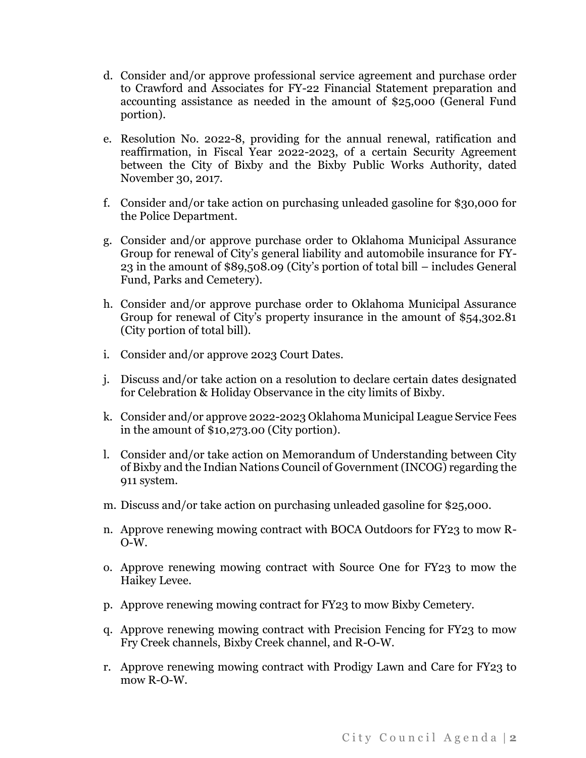- d. Consider and/or approve professional service agreement and purchase order to Crawford and Associates for FY-22 Financial Statement preparation and accounting assistance as needed in the amount of \$25,000 (General Fund portion).
- e. Resolution No. 2022-8, providing for the annual renewal, ratification and reaffirmation, in Fiscal Year 2022-2023, of a certain Security Agreement between the City of Bixby and the Bixby Public Works Authority, dated November 30, 2017.
- f. Consider and/or take action on purchasing unleaded gasoline for \$30,000 for the Police Department.
- g. Consider and/or approve purchase order to Oklahoma Municipal Assurance Group for renewal of City's general liability and automobile insurance for FY-23 in the amount of \$89,508.09 (City's portion of total bill – includes General Fund, Parks and Cemetery).
- h. Consider and/or approve purchase order to Oklahoma Municipal Assurance Group for renewal of City's property insurance in the amount of \$54,302.81 (City portion of total bill).
- i. Consider and/or approve 2023 Court Dates.
- j. Discuss and/or take action on a resolution to declare certain dates designated for Celebration & Holiday Observance in the city limits of Bixby.
- k. Consider and/or approve 2022-2023 Oklahoma Municipal League Service Fees in the amount of \$10,273.00 (City portion).
- l. Consider and/or take action on Memorandum of Understanding between City of Bixby and the Indian Nations Council of Government (INCOG) regarding the 911 system.
- m. Discuss and/or take action on purchasing unleaded gasoline for \$25,000.
- n. Approve renewing mowing contract with BOCA Outdoors for FY23 to mow R-O-W.
- o. Approve renewing mowing contract with Source One for FY23 to mow the Haikey Levee.
- p. Approve renewing mowing contract for FY23 to mow Bixby Cemetery.
- q. Approve renewing mowing contract with Precision Fencing for FY23 to mow Fry Creek channels, Bixby Creek channel, and R-O-W.
- r. Approve renewing mowing contract with Prodigy Lawn and Care for FY23 to mow R-O-W.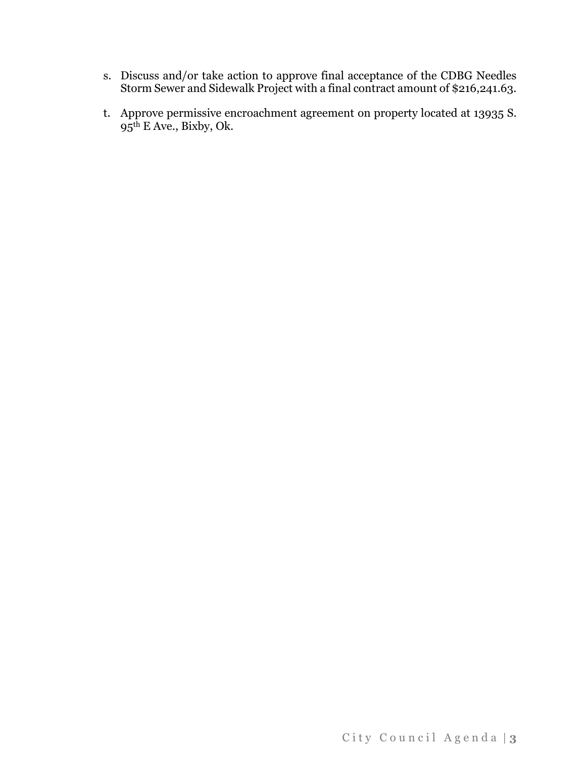- s. Discuss and/or take action to approve final acceptance of the CDBG Needles Storm Sewer and Sidewalk Project with a final contract amount of \$216,241.63.
- t. Approve permissive encroachment agreement on property located at 13935 S. 95th E Ave., Bixby, Ok.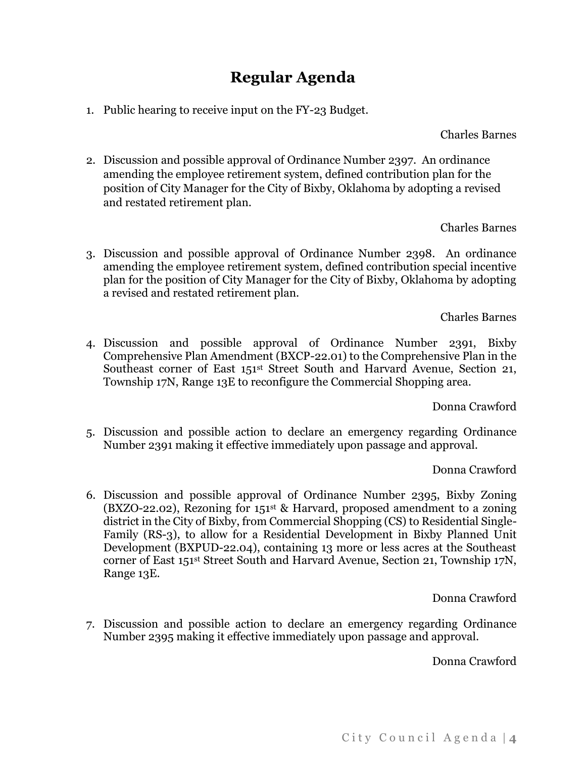## **Regular Agenda**

1. Public hearing to receive input on the FY-23 Budget.

Charles Barnes

2. Discussion and possible approval of Ordinance Number 2397. An ordinance amending the employee retirement system, defined contribution plan for the position of City Manager for the City of Bixby, Oklahoma by adopting a revised and restated retirement plan.

#### Charles Barnes

3. Discussion and possible approval of Ordinance Number 2398. An ordinance amending the employee retirement system, defined contribution special incentive plan for the position of City Manager for the City of Bixby, Oklahoma by adopting a revised and restated retirement plan.

Charles Barnes

4. Discussion and possible approval of Ordinance Number 2391, Bixby Comprehensive Plan Amendment (BXCP-22.01) to the Comprehensive Plan in the Southeast corner of East 151<sup>st</sup> Street South and Harvard Avenue, Section 21, Township 17N, Range 13E to reconfigure the Commercial Shopping area.

Donna Crawford

5. Discussion and possible action to declare an emergency regarding Ordinance Number 2391 making it effective immediately upon passage and approval.

Donna Crawford

6. Discussion and possible approval of Ordinance Number 2395, Bixby Zoning (BXZO-22.02), Rezoning for  $151<sup>st</sup>$  & Harvard, proposed amendment to a zoning district in the City of Bixby, from Commercial Shopping (CS) to Residential Single-Family (RS-3), to allow for a Residential Development in Bixby Planned Unit Development (BXPUD-22.04), containing 13 more or less acres at the Southeast corner of East 151st Street South and Harvard Avenue, Section 21, Township 17N, Range 13E.

Donna Crawford

7. Discussion and possible action to declare an emergency regarding Ordinance Number 2395 making it effective immediately upon passage and approval.

Donna Crawford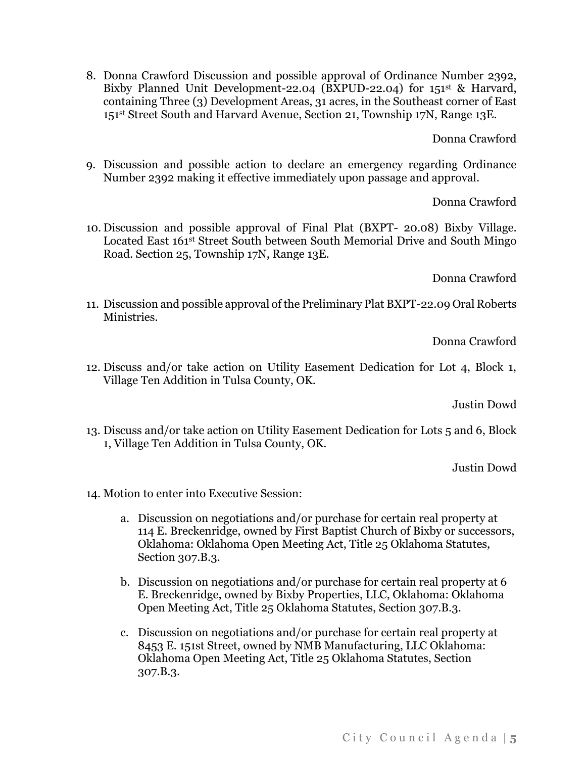8. Donna Crawford Discussion and possible approval of Ordinance Number 2392, Bixby Planned Unit Development-22.04 (BXPUD-22.04) for 151st & Harvard, containing Three (3) Development Areas, 31 acres, in the Southeast corner of East 151st Street South and Harvard Avenue, Section 21, Township 17N, Range 13E.

Donna Crawford

9. Discussion and possible action to declare an emergency regarding Ordinance Number 2392 making it effective immediately upon passage and approval.

Donna Crawford

10. Discussion and possible approval of Final Plat (BXPT- 20.08) Bixby Village. Located East 161<sup>st</sup> Street South between South Memorial Drive and South Mingo Road. Section 25, Township 17N, Range 13E.

Donna Crawford

11. Discussion and possible approval of the Preliminary Plat BXPT-22.09 Oral Roberts Ministries.

Donna Crawford

12. Discuss and/or take action on Utility Easement Dedication for Lot 4, Block 1, Village Ten Addition in Tulsa County, OK.

Justin Dowd

13. Discuss and/or take action on Utility Easement Dedication for Lots 5 and 6, Block 1, Village Ten Addition in Tulsa County, OK.

Justin Dowd

- 14. Motion to enter into Executive Session:
	- a. Discussion on negotiations and/or purchase for certain real property at 114 E. Breckenridge, owned by First Baptist Church of Bixby or successors, Oklahoma: Oklahoma Open Meeting Act, Title 25 Oklahoma Statutes, Section 307.B.3.
	- b. Discussion on negotiations and/or purchase for certain real property at 6 E. Breckenridge, owned by Bixby Properties, LLC, Oklahoma: Oklahoma Open Meeting Act, Title 25 Oklahoma Statutes, Section 307.B.3.
	- c. Discussion on negotiations and/or purchase for certain real property at 8453 E. 151st Street, owned by NMB Manufacturing, LLC Oklahoma: Oklahoma Open Meeting Act, Title 25 Oklahoma Statutes, Section 307.B.3.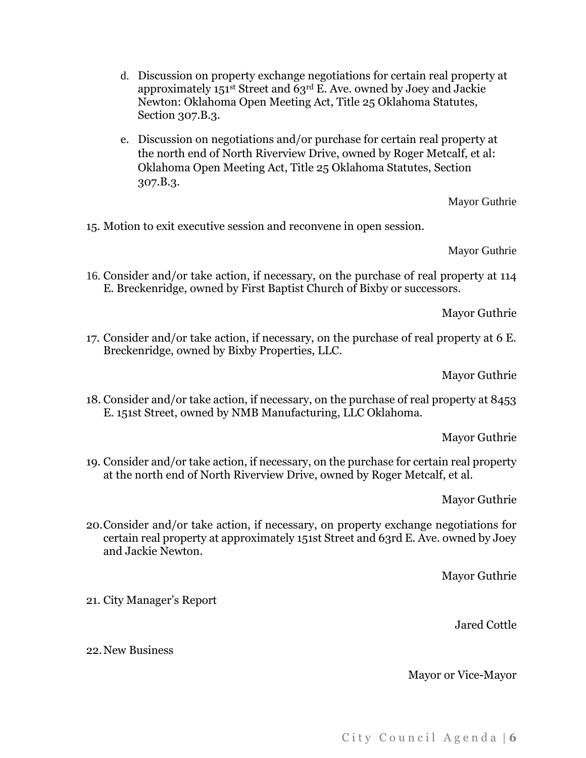- d. Discussion on property exchange negotiations for certain real property at approximately 151st Street and 63rd E. Ave. owned by Joey and Jackie Newton: Oklahoma Open Meeting Act, Title 25 Oklahoma Statutes, Section 307.B.3.
- e. Discussion on negotiations and/or purchase for certain real property at the north end of North Riverview Drive, owned by Roger Metcalf, et al: Oklahoma Open Meeting Act, Title 25 Oklahoma Statutes, Section 307.B.3.

Mayor Guthrie

15. Motion to exit executive session and reconvene in open session.

Mayor Guthrie

16. Consider and/or take action, if necessary, on the purchase of real property at 114 E. Breckenridge, owned by First Baptist Church of Bixby or successors.

Mayor Guthrie

17. Consider and/or take action, if necessary, on the purchase of real property at 6 E. Breckenridge, owned by Bixby Properties, LLC.

Mayor Guthrie

18. Consider and/or take action, if necessary, on the purchase of real property at 8453 E. 151st Street, owned by NMB Manufacturing, LLC Oklahoma.

Mayor Guthrie

19. Consider and/or take action, if necessary, on the purchase for certain real property at the north end of North Riverview Drive, owned by Roger Metcalf, et al.

Mayor Guthrie

20.Consider and/or take action, if necessary, on property exchange negotiations for certain real property at approximately 151st Street and 63rd E. Ave. owned by Joey and Jackie Newton.

Mayor Guthrie

21. City Manager's Report

Jared Cottle

22.New Business

#### Mayor or Vice-Mayor

City Council Agenda | 6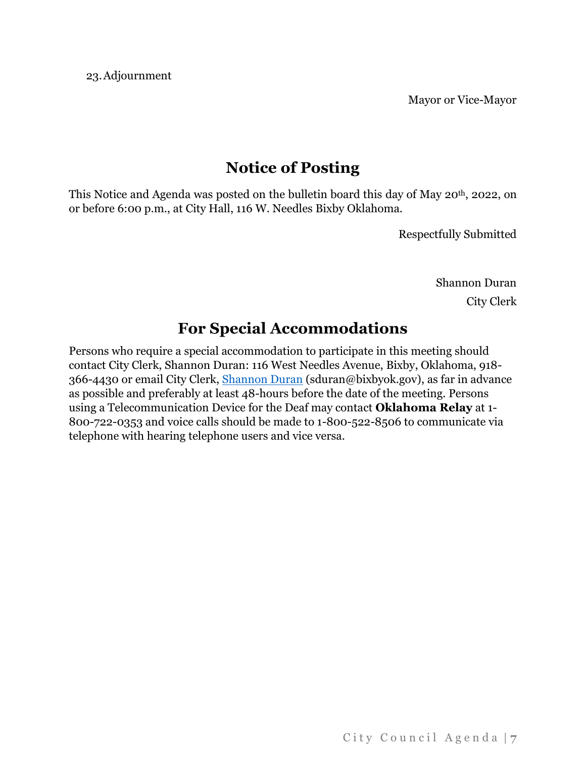23.Adjournment

Mayor or Vice-Mayor

## **Notice of Posting**

This Notice and Agenda was posted on the bulletin board this day of May 20<sup>th</sup>, 2022, on or before 6:00 p.m., at City Hall, 116 W. Needles Bixby Oklahoma.

Respectfully Submitted

Shannon Duran City Clerk

## **For Special Accommodations**

Persons who require a special accommodation to participate in this meeting should contact City Clerk, Shannon Duran: 116 West Needles Avenue, Bixby, Oklahoma, 918- 366-4430 or email City Clerk, [Shannon Duran](mailto:sduran@bixbyok.gov) (sduran@bixbyok.gov), as far in advance as possible and preferably at least 48-hours before the date of the meeting. Persons using a Telecommunication Device for the Deaf may contact **Oklahoma Relay** at 1- 800-722-0353 and voice calls should be made to 1-800-522-8506 to communicate via telephone with hearing telephone users and vice versa.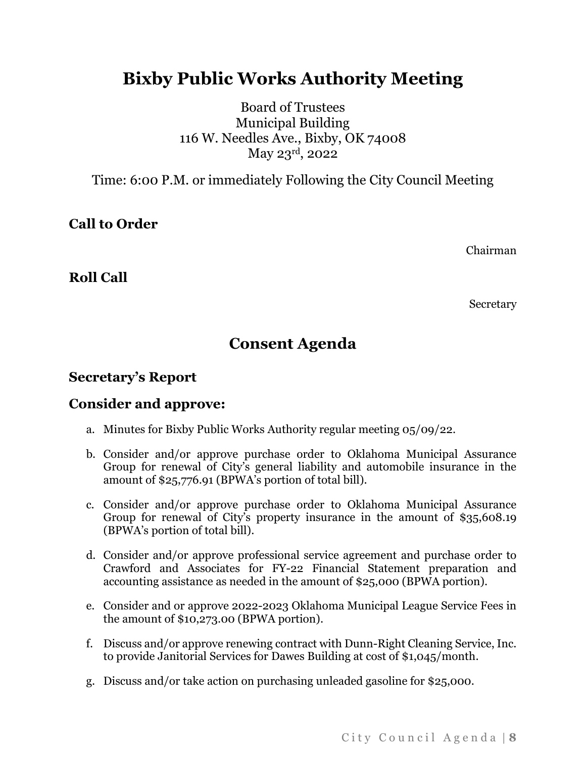# **Bixby Public Works Authority Meeting**

Board of Trustees Municipal Building 116 W. Needles Ave., Bixby, OK 74008 May 23rd, 2022

Time: 6:00 P.M. or immediately Following the City Council Meeting

**Call to Order**

Chairman

**Roll Call**

Secretary

## **Consent Agenda**

#### **Secretary's Report**

#### **Consider and approve:**

- a. Minutes for Bixby Public Works Authority regular meeting 05/09/22.
- b. Consider and/or approve purchase order to Oklahoma Municipal Assurance Group for renewal of City's general liability and automobile insurance in the amount of \$25,776.91 (BPWA's portion of total bill).
- c. Consider and/or approve purchase order to Oklahoma Municipal Assurance Group for renewal of City's property insurance in the amount of \$35,608.19 (BPWA's portion of total bill).
- d. Consider and/or approve professional service agreement and purchase order to Crawford and Associates for FY-22 Financial Statement preparation and accounting assistance as needed in the amount of \$25,000 (BPWA portion).
- e. Consider and or approve 2022-2023 Oklahoma Municipal League Service Fees in the amount of \$10,273.00 (BPWA portion).
- f. Discuss and/or approve renewing contract with Dunn-Right Cleaning Service, Inc. to provide Janitorial Services for Dawes Building at cost of \$1,045/month.
- g. Discuss and/or take action on purchasing unleaded gasoline for \$25,000.